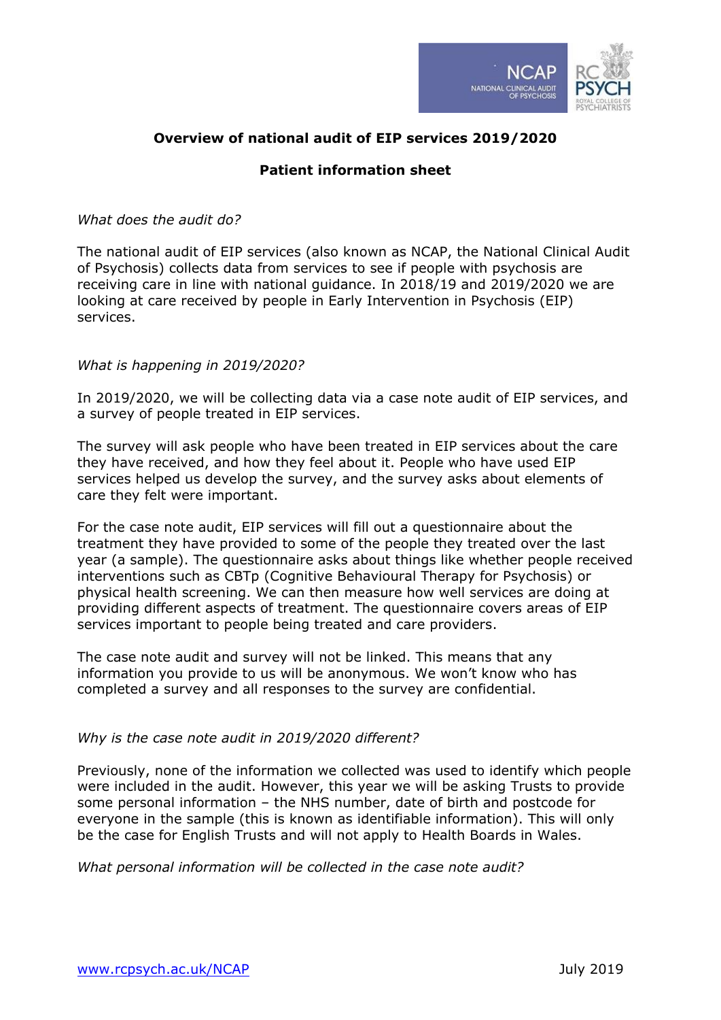

# **Overview of national audit of EIP services 2019/2020**

## **Patient information sheet**

#### *What does the audit do?*

The national audit of EIP services (also known as NCAP, the National Clinical Audit of Psychosis) collects data from services to see if people with psychosis are receiving care in line with national guidance. In 2018/19 and 2019/2020 we are looking at care received by people in Early Intervention in Psychosis (EIP) services.

## *What is happening in 2019/2020?*

In 2019/2020, we will be collecting data via a case note audit of EIP services, and a survey of people treated in EIP services.

The survey will ask people who have been treated in EIP services about the care they have received, and how they feel about it. People who have used EIP services helped us develop the survey, and the survey asks about elements of care they felt were important.

For the case note audit, EIP services will fill out a questionnaire about the treatment they have provided to some of the people they treated over the last year (a sample). The questionnaire asks about things like whether people received interventions such as CBTp (Cognitive Behavioural Therapy for Psychosis) or physical health screening. We can then measure how well services are doing at providing different aspects of treatment. The questionnaire covers areas of EIP services important to people being treated and care providers.

The case note audit and survey will not be linked. This means that any information you provide to us will be anonymous. We won't know who has completed a survey and all responses to the survey are confidential.

#### *Why is the case note audit in 2019/2020 different?*

Previously, none of the information we collected was used to identify which people were included in the audit. However, this year we will be asking Trusts to provide some personal information – the NHS number, date of birth and postcode for everyone in the sample (this is known as identifiable information). This will only be the case for English Trusts and will not apply to Health Boards in Wales.

*What personal information will be collected in the case note audit?*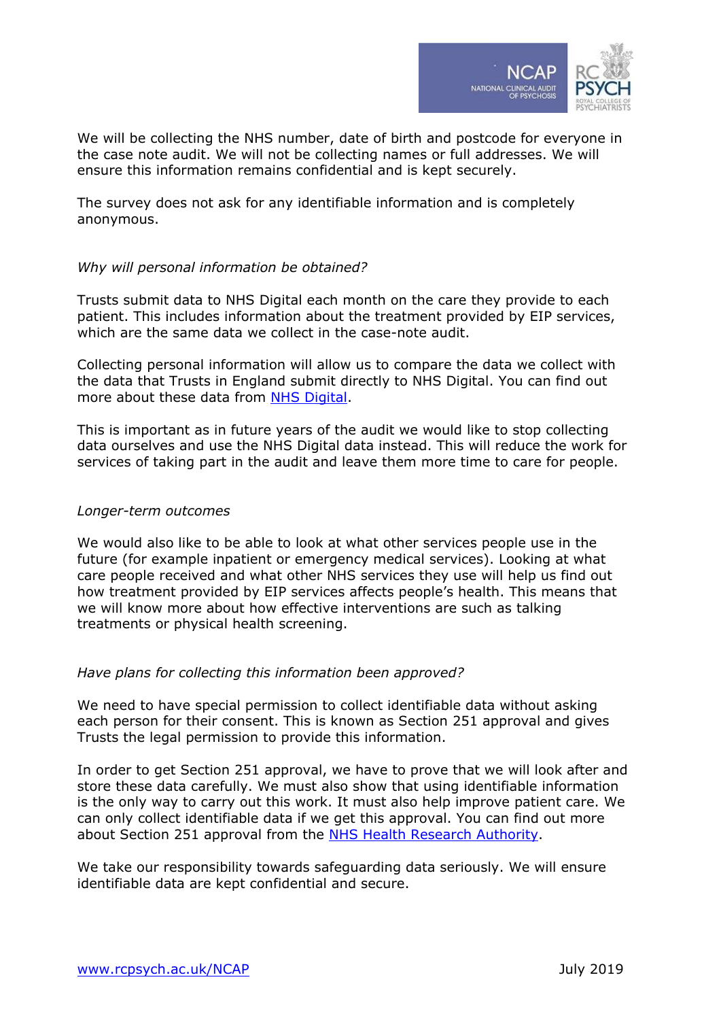

We will be collecting the NHS number, date of birth and postcode for everyone in the case note audit. We will not be collecting names or full addresses. We will ensure this information remains confidential and is kept securely.

The survey does not ask for any identifiable information and is completely anonymous.

#### *Why will personal information be obtained?*

Trusts submit data to NHS Digital each month on the care they provide to each patient. This includes information about the treatment provided by EIP services, which are the same data we collect in the case-note audit.

Collecting personal information will allow us to compare the data we collect with the data that Trusts in England submit directly to NHS Digital. You can find out more about these data from [NHS Digital.](https://digital.nhs.uk/data-and-information/data-collections-and-data-sets/data-sets/mental-health-services-data-set)

This is important as in future years of the audit we would like to stop collecting data ourselves and use the NHS Digital data instead. This will reduce the work for services of taking part in the audit and leave them more time to care for people.

#### *Longer-term outcomes*

We would also like to be able to look at what other services people use in the future (for example inpatient or emergency medical services). Looking at what care people received and what other NHS services they use will help us find out how treatment provided by EIP services affects people's health. This means that we will know more about how effective interventions are such as talking treatments or physical health screening.

#### *Have plans for collecting this information been approved?*

We need to have special permission to collect identifiable data without asking each person for their consent. This is known as Section 251 approval and gives Trusts the legal permission to provide this information.

In order to get Section 251 approval, we have to prove that we will look after and store these data carefully. We must also show that using identifiable information is the only way to carry out this work. It must also help improve patient care. We can only collect identifiable data if we get this approval. You can find out more about Section 251 approval from the [NHS Health Research Authority.](https://www.hra.nhs.uk/about-us/committees-and-services/confidentiality-advisory-group/)

We take our responsibility towards safeguarding data seriously. We will ensure identifiable data are kept confidential and secure.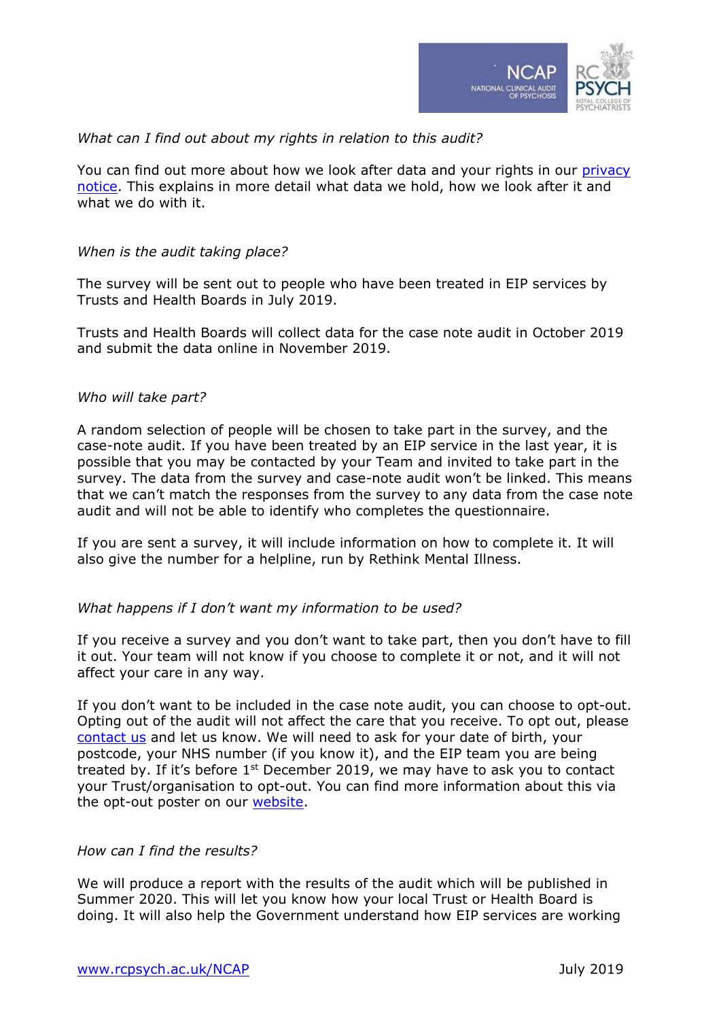

## *What can I find out about my rights in relation to this audit?*

You can find out more about how we look after data and your rights in our privacy [notice.](https://www.rcpsych.ac.uk/about-us/data-protection) This explains in more detail what data we hold, how we look after it and what we do with it.

#### *When is the audit taking place?*

The survey will be sent out to people who have been treated in EIP services by Trusts and Health Boards in July 2019.

Trusts and Health Boards will collect data for the case note audit in October 2019 and submit the data online in November 2019.

#### *Who will take part?*

A random selection of people will be chosen to take part in the survey, and the case-note audit. If you have been treated by an EIP service in the last year, it is possible that you may be contacted by your Team and invited to take part in the survey. The data from the survey and case-note audit won't be linked. This means that we can't match the responses from the survey to any data from the case note audit and will not be able to identify who completes the questionnaire.

If you are sent a survey, it will include information on how to complete it. It will also give the number for a helpline, run by Rethink Mental Illness.

#### *What happens if I don't want my information to be used?*

If you receive a survey and you don't want to take part, then you don't have to fill it out. Your team will not know if you choose to complete it or not, and it will not affect your care in any way.

If you don't want to be included in the case note audit, you can choose to opt-out. Opting out of the audit will not affect the care that you receive. To opt out, please [contact us](https://www.rcpsych.ac.uk/improving-care/ccqi/national-clinical-audits/national-clinical-audit-of-psychosis/about-ncap) and let us know. We will need to ask for your date of birth, your postcode, your NHS number (if you know it), and the EIP team you are being treated by. If it's before  $1<sup>st</sup>$  December 2019, we may have to ask you to contact your Trust/organisation to opt-out. You can find more information about this via the opt-out poster on our [website.](http://www.rcpsych.ac.uk/NCAP)

#### *How can I find the results?*

We will produce a report with the results of the audit which will be published in Summer 2020. This will let you know how your local Trust or Health Board is doing. It will also help the Government understand how EIP services are working